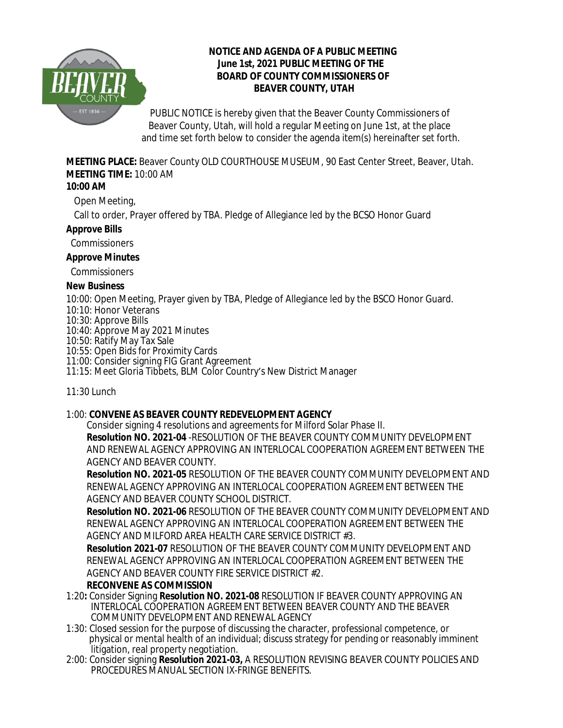

## **NOTICE AND AGENDA OF A PUBLIC MEETING June 1st, 2021 PUBLIC MEETING OF THE BOARD OF COUNTY COMMISSIONERS OF BEAVER COUNTY, UTAH**

PUBLIC NOTICE is hereby given that the Beaver County Commissioners of Beaver County, Utah, will hold a regular Meeting on June 1st, at the place and time set forth below to consider the agenda item(s) hereinafter set forth.

**MEETING PLACE:** Beaver County OLD COURTHOUSE MUSEUM, 90 East Center Street, Beaver, Utah. **MEETING TIME:** 10:00 AM

## **10:00 AM**

Open Meeting,

Call to order, Prayer offered by TBA. Pledge of Allegiance led by the BCSO Honor Guard

#### **Approve Bills**

Commissioners

## **Approve Minutes**

Commissioners

## **New Business**

10:00: Open Meeting, Prayer given by TBA, Pledge of Allegiance led by the BSCO Honor Guard.

- 10:10: Honor Veterans
- 10:30: Approve Bills

10:40: Approve May 2021 Minutes

- 10:50: Ratify May Tax Sale
- 10:55: Open Bids for Proximity Cards

11:00: Consider signing FIG Grant Agreement

11:15: Meet Gloria Tibbets, BLM Color Country's New District Manager

11:30 Lunch

## 1:00: **CONVENE AS BEAVER COUNTY REDEVELOPMENT AGENCY**

Consider signing 4 resolutions and agreements for Milford Solar Phase II.

**Resolution NO. 2021-04** -RESOLUTION OF THE BEAVER COUNTY COMMUNITY DEVELOPMENT AND RENEWAL AGENCY APPROVING AN INTERLOCAL COOPERATION AGREEMENT BETWEEN THE AGENCY AND BEAVER COUNTY.

**Resolution NO. 2021-05** RESOLUTION OF THE BEAVER COUNTY COMMUNITY DEVELOPMENT AND RENEWAL AGENCY APPROVING AN INTERLOCAL COOPERATION AGREEMENT BETWEEN THE AGENCY AND BEAVER COUNTY SCHOOL DISTRICT.

**Resolution NO. 2021-06** RESOLUTION OF THE BEAVER COUNTY COMMUNITY DEVELOPMENT AND RENEWAL AGENCY APPROVING AN INTERLOCAL COOPERATION AGREEMENT BETWEEN THE AGENCY AND MILFORD AREA HEALTH CARE SERVICE DISTRICT #3.

**Resolution 2021-07** RESOLUTION OF THE BEAVER COUNTY COMMUNITY DEVELOPMENT AND RENEWAL AGENCY APPROVING AN INTERLOCAL COOPERATION AGREEMENT BETWEEN THE AGENCY AND BEAVER COUNTY FIRE SERVICE DISTRICT #2.

## **RECONVENE AS COMMISSION**

- 1:20**:** Consider Signing **Resolution NO. 2021-08** RESOLUTION IF BEAVER COUNTY APPROVING AN INTERLOCAL COOPERATION AGREEMENT BETWEEN BEAVER COUNTY AND THE BEAVER COMMUNITY DEVELOPMENT AND RENEWAL AGENCY
- 1:30: Closed session for the purpose of discussing the character, professional competence, or physical or mental health of an individual; discuss strategy for pending or reasonably imminent litigation, real property negotiation.
- 2:00: Consider signing **Resolution 2021-03,** A RESOLUTION REVISING BEAVER COUNTY POLICIES AND PROCEDURES MANUAL SECTION IX-FRINGE BENEFITS.